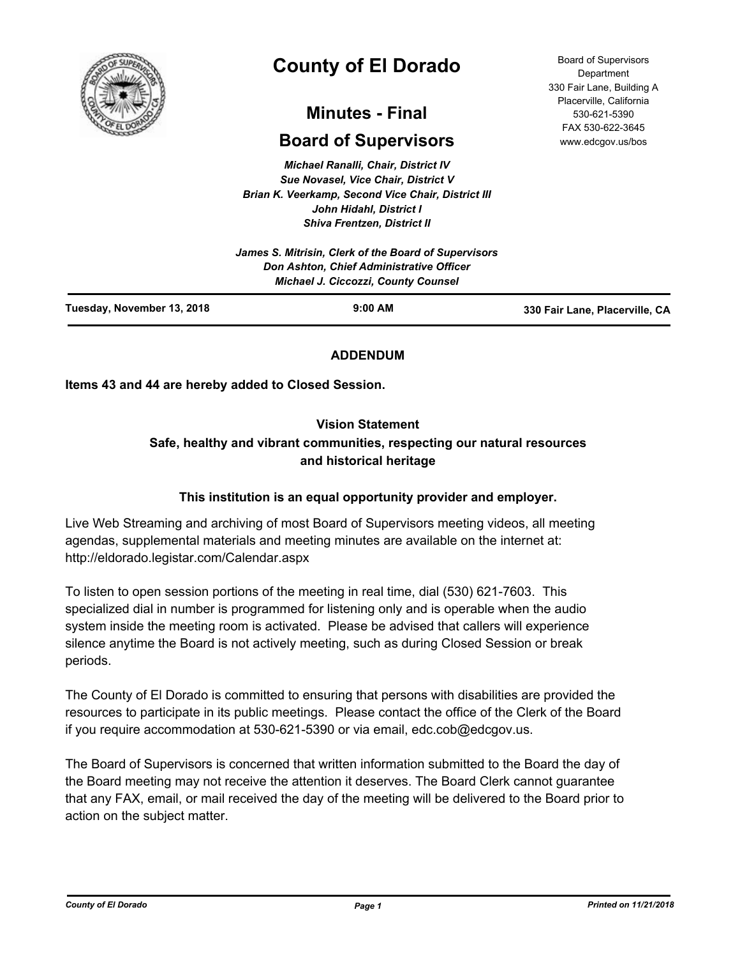

# **County of El Dorado**

## **Minutes - Final**

## **Board of Supervisors**

*Michael Ranalli, Chair, District IV Sue Novasel, Vice Chair, District V Brian K. Veerkamp, Second Vice Chair, District III John Hidahl, District I Shiva Frentzen, District II*

| Tuesday, November 13, 2018 | <b>Michael J. Ciccozzi, County Counsel</b><br>$9:00$ AM | 330 Fair Lane, Placerville, CA |
|----------------------------|---------------------------------------------------------|--------------------------------|
|                            | Don Ashton, Chief Administrative Officer                |                                |
|                            | James S. Mitrisin, Clerk of the Board of Supervisors    |                                |

### **ADDENDUM**

**Items 43 and 44 are hereby added to Closed Session.**

### **Vision Statement**

### **Safe, healthy and vibrant communities, respecting our natural resources and historical heritage**

### **This institution is an equal opportunity provider and employer.**

Live Web Streaming and archiving of most Board of Supervisors meeting videos, all meeting agendas, supplemental materials and meeting minutes are available on the internet at: http://eldorado.legistar.com/Calendar.aspx

To listen to open session portions of the meeting in real time, dial (530) 621-7603. This specialized dial in number is programmed for listening only and is operable when the audio system inside the meeting room is activated. Please be advised that callers will experience silence anytime the Board is not actively meeting, such as during Closed Session or break periods.

The County of El Dorado is committed to ensuring that persons with disabilities are provided the resources to participate in its public meetings. Please contact the office of the Clerk of the Board if you require accommodation at 530-621-5390 or via email, edc.cob@edcgov.us.

The Board of Supervisors is concerned that written information submitted to the Board the day of the Board meeting may not receive the attention it deserves. The Board Clerk cannot guarantee that any FAX, email, or mail received the day of the meeting will be delivered to the Board prior to action on the subject matter.

Board of Supervisors Department 330 Fair Lane, Building A Placerville, California 530-621-5390 FAX 530-622-3645 www.edcgov.us/bos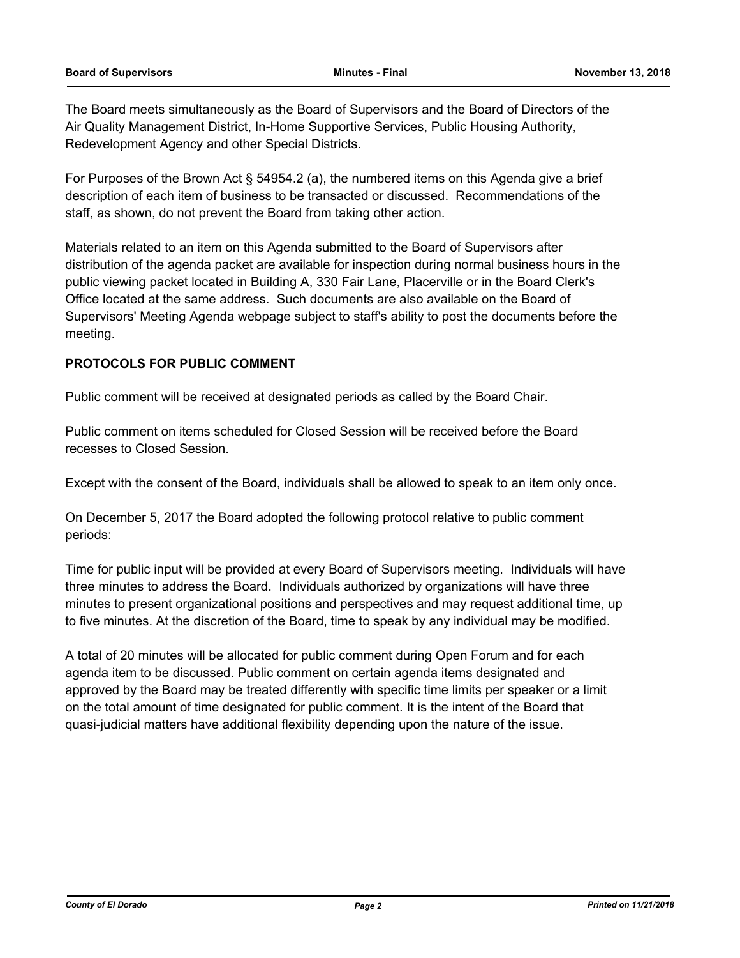The Board meets simultaneously as the Board of Supervisors and the Board of Directors of the Air Quality Management District, In-Home Supportive Services, Public Housing Authority, Redevelopment Agency and other Special Districts.

For Purposes of the Brown Act § 54954.2 (a), the numbered items on this Agenda give a brief description of each item of business to be transacted or discussed. Recommendations of the staff, as shown, do not prevent the Board from taking other action.

Materials related to an item on this Agenda submitted to the Board of Supervisors after distribution of the agenda packet are available for inspection during normal business hours in the public viewing packet located in Building A, 330 Fair Lane, Placerville or in the Board Clerk's Office located at the same address. Such documents are also available on the Board of Supervisors' Meeting Agenda webpage subject to staff's ability to post the documents before the meeting.

### **PROTOCOLS FOR PUBLIC COMMENT**

Public comment will be received at designated periods as called by the Board Chair.

Public comment on items scheduled for Closed Session will be received before the Board recesses to Closed Session.

Except with the consent of the Board, individuals shall be allowed to speak to an item only once.

On December 5, 2017 the Board adopted the following protocol relative to public comment periods:

Time for public input will be provided at every Board of Supervisors meeting. Individuals will have three minutes to address the Board. Individuals authorized by organizations will have three minutes to present organizational positions and perspectives and may request additional time, up to five minutes. At the discretion of the Board, time to speak by any individual may be modified.

A total of 20 minutes will be allocated for public comment during Open Forum and for each agenda item to be discussed. Public comment on certain agenda items designated and approved by the Board may be treated differently with specific time limits per speaker or a limit on the total amount of time designated for public comment. It is the intent of the Board that quasi-judicial matters have additional flexibility depending upon the nature of the issue.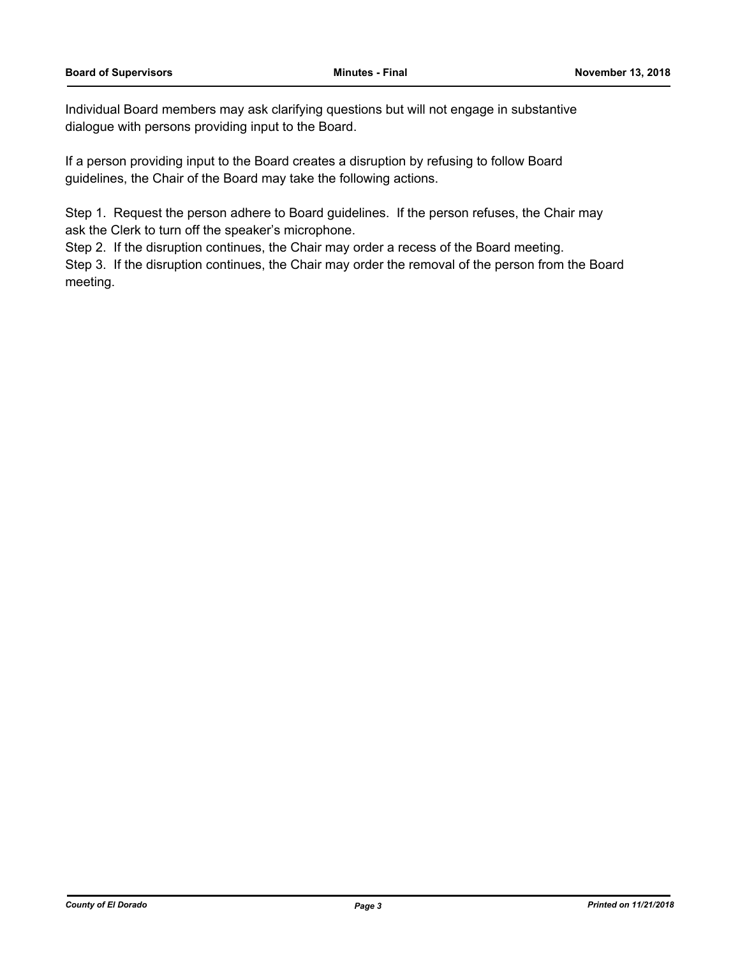Individual Board members may ask clarifying questions but will not engage in substantive dialogue with persons providing input to the Board.

If a person providing input to the Board creates a disruption by refusing to follow Board guidelines, the Chair of the Board may take the following actions.

Step 1. Request the person adhere to Board guidelines. If the person refuses, the Chair may ask the Clerk to turn off the speaker's microphone.

Step 2. If the disruption continues, the Chair may order a recess of the Board meeting.

Step 3. If the disruption continues, the Chair may order the removal of the person from the Board meeting.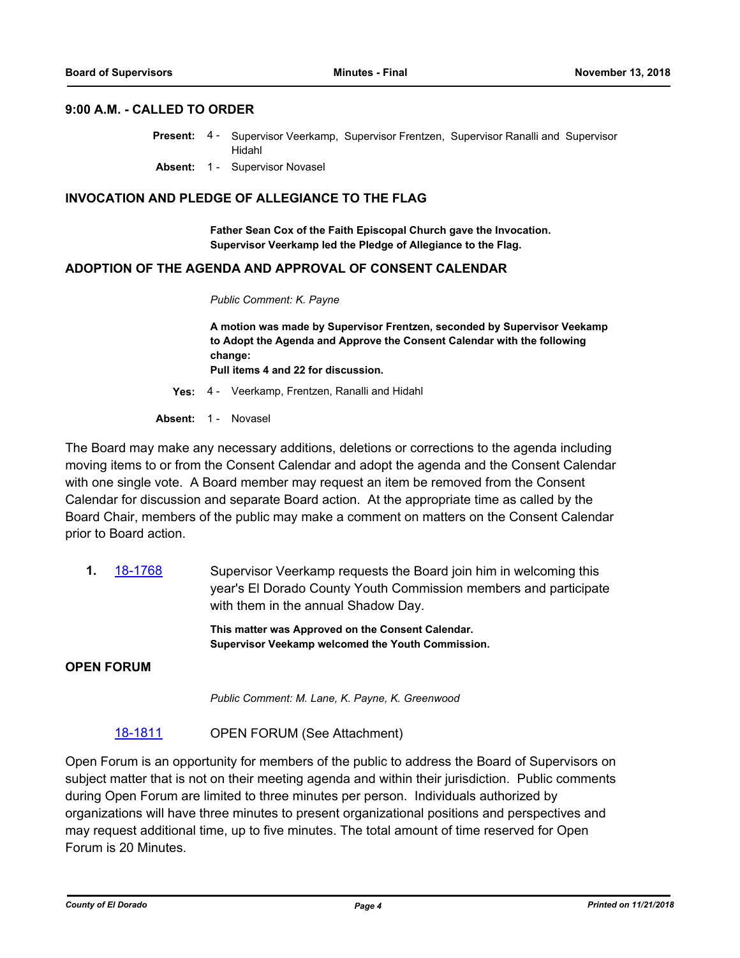### **9:00 A.M. - CALLED TO ORDER**

- Present: 4 Supervisor Veerkamp, Supervisor Frentzen, Supervisor Ranalli and Supervisor Hidahl
- **Absent:** 1 Supervisor Novasel

### **INVOCATION AND PLEDGE OF ALLEGIANCE TO THE FLAG**

**Father Sean Cox of the Faith Episcopal Church gave the Invocation. Supervisor Veerkamp led the Pledge of Allegiance to the Flag.**

### **ADOPTION OF THE AGENDA AND APPROVAL OF CONSENT CALENDAR**

*Public Comment: K. Payne*

**A motion was made by Supervisor Frentzen, seconded by Supervisor Veekamp to Adopt the Agenda and Approve the Consent Calendar with the following change:**

**Pull items 4 and 22 for discussion.**

**Yes:** 4 - Veerkamp, Frentzen, Ranalli and Hidahl

Absent: 1 - Novasel

The Board may make any necessary additions, deletions or corrections to the agenda including moving items to or from the Consent Calendar and adopt the agenda and the Consent Calendar with one single vote. A Board member may request an item be removed from the Consent Calendar for discussion and separate Board action. At the appropriate time as called by the Board Chair, members of the public may make a comment on matters on the Consent Calendar prior to Board action.

**1.** [18-1768](http://eldorado.legistar.com/gateway.aspx?m=l&id=/matter.aspx?key=25119) Supervisor Veerkamp requests the Board join him in welcoming this year's El Dorado County Youth Commission members and participate with them in the annual Shadow Day.

> **This matter was Approved on the Consent Calendar. Supervisor Veekamp welcomed the Youth Commission.**

**OPEN FORUM**

*Public Comment: M. Lane, K. Payne, K. Greenwood*

### [18-1811](http://eldorado.legistar.com/gateway.aspx?m=l&id=/matter.aspx?key=25162) OPEN FORUM (See Attachment)

Open Forum is an opportunity for members of the public to address the Board of Supervisors on subject matter that is not on their meeting agenda and within their jurisdiction. Public comments during Open Forum are limited to three minutes per person. Individuals authorized by organizations will have three minutes to present organizational positions and perspectives and may request additional time, up to five minutes. The total amount of time reserved for Open Forum is 20 Minutes.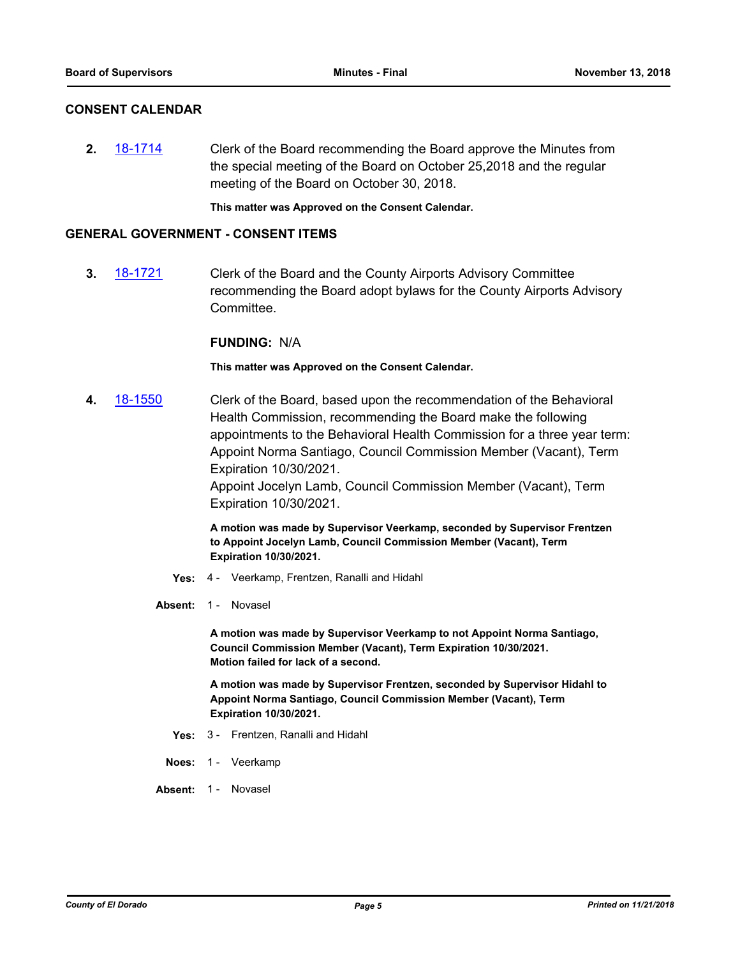### **CONSENT CALENDAR**

**2.** [18-1714](http://eldorado.legistar.com/gateway.aspx?m=l&id=/matter.aspx?key=25065) Clerk of the Board recommending the Board approve the Minutes from the special meeting of the Board on October 25,2018 and the regular meeting of the Board on October 30, 2018.

**This matter was Approved on the Consent Calendar.**

### **GENERAL GOVERNMENT - CONSENT ITEMS**

**3.** [18-1721](http://eldorado.legistar.com/gateway.aspx?m=l&id=/matter.aspx?key=25072) Clerk of the Board and the County Airports Advisory Committee recommending the Board adopt bylaws for the County Airports Advisory Committee.

### **FUNDING:** N/A

**This matter was Approved on the Consent Calendar.**

**4.** [18-1550](http://eldorado.legistar.com/gateway.aspx?m=l&id=/matter.aspx?key=24901) Clerk of the Board, based upon the recommendation of the Behavioral Health Commission, recommending the Board make the following appointments to the Behavioral Health Commission for a three year term: Appoint Norma Santiago, Council Commission Member (Vacant), Term Expiration 10/30/2021.

Appoint Jocelyn Lamb, Council Commission Member (Vacant), Term Expiration 10/30/2021.

**A motion was made by Supervisor Veerkamp, seconded by Supervisor Frentzen to Appoint Jocelyn Lamb, Council Commission Member (Vacant), Term Expiration 10/30/2021.**

- **Yes:** 4 Veerkamp, Frentzen, Ranalli and Hidahl
- Absent: 1 Novasel

**A motion was made by Supervisor Veerkamp to not Appoint Norma Santiago, Council Commission Member (Vacant), Term Expiration 10/30/2021. Motion failed for lack of a second.**

**A motion was made by Supervisor Frentzen, seconded by Supervisor Hidahl to Appoint Norma Santiago, Council Commission Member (Vacant), Term Expiration 10/30/2021.**

- **Yes:** 3 Frentzen, Ranalli and Hidahl
- **Noes:** 1 Veerkamp
- Absent: 1 Novasel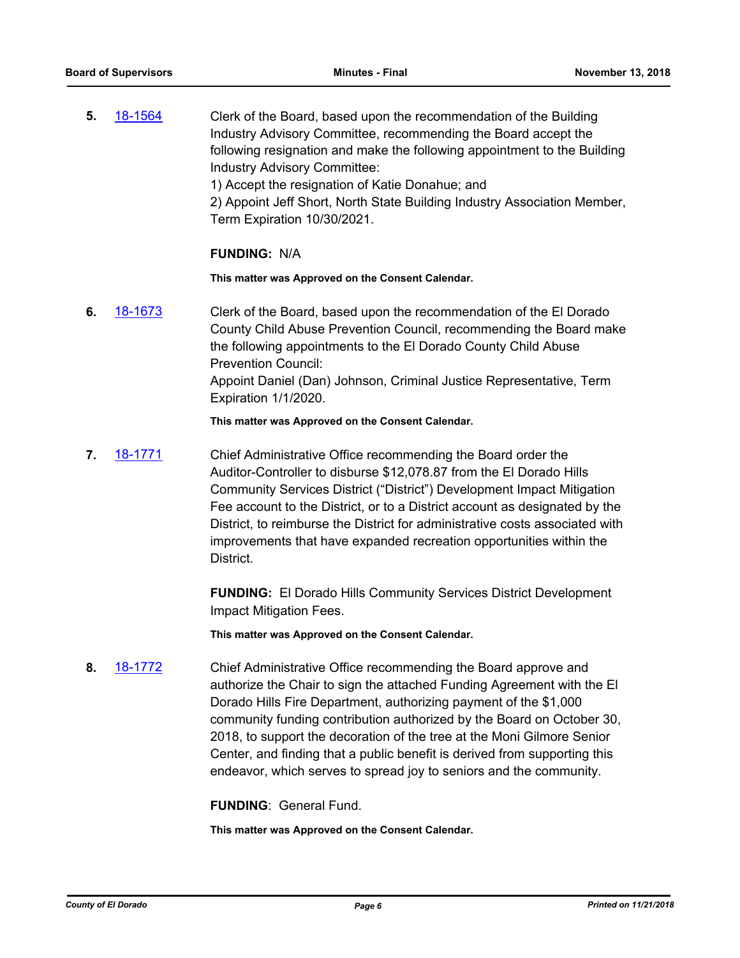**5.** [18-1564](http://eldorado.legistar.com/gateway.aspx?m=l&id=/matter.aspx?key=24915) Clerk of the Board, based upon the recommendation of the Building Industry Advisory Committee, recommending the Board accept the following resignation and make the following appointment to the Building Industry Advisory Committee: 1) Accept the resignation of Katie Donahue; and

2) Appoint Jeff Short, North State Building Industry Association Member, Term Expiration 10/30/2021.

### **FUNDING:** N/A

**This matter was Approved on the Consent Calendar.**

**6.** [18-1673](http://eldorado.legistar.com/gateway.aspx?m=l&id=/matter.aspx?key=25024) Clerk of the Board, based upon the recommendation of the El Dorado County Child Abuse Prevention Council, recommending the Board make the following appointments to the El Dorado County Child Abuse Prevention Council: Appoint Daniel (Dan) Johnson, Criminal Justice Representative, Term Expiration 1/1/2020.

### **This matter was Approved on the Consent Calendar.**

**7.** [18-1771](http://eldorado.legistar.com/gateway.aspx?m=l&id=/matter.aspx?key=25122) Chief Administrative Office recommending the Board order the Auditor-Controller to disburse \$12,078.87 from the El Dorado Hills Community Services District ("District") Development Impact Mitigation Fee account to the District, or to a District account as designated by the District, to reimburse the District for administrative costs associated with improvements that have expanded recreation opportunities within the **District.** 

> **FUNDING:** El Dorado Hills Community Services District Development Impact Mitigation Fees.

**This matter was Approved on the Consent Calendar.**

**8.** [18-1772](http://eldorado.legistar.com/gateway.aspx?m=l&id=/matter.aspx?key=25123) Chief Administrative Office recommending the Board approve and authorize the Chair to sign the attached Funding Agreement with the El Dorado Hills Fire Department, authorizing payment of the \$1,000 community funding contribution authorized by the Board on October 30, 2018, to support the decoration of the tree at the Moni Gilmore Senior Center, and finding that a public benefit is derived from supporting this endeavor, which serves to spread joy to seniors and the community.

**FUNDING**: General Fund.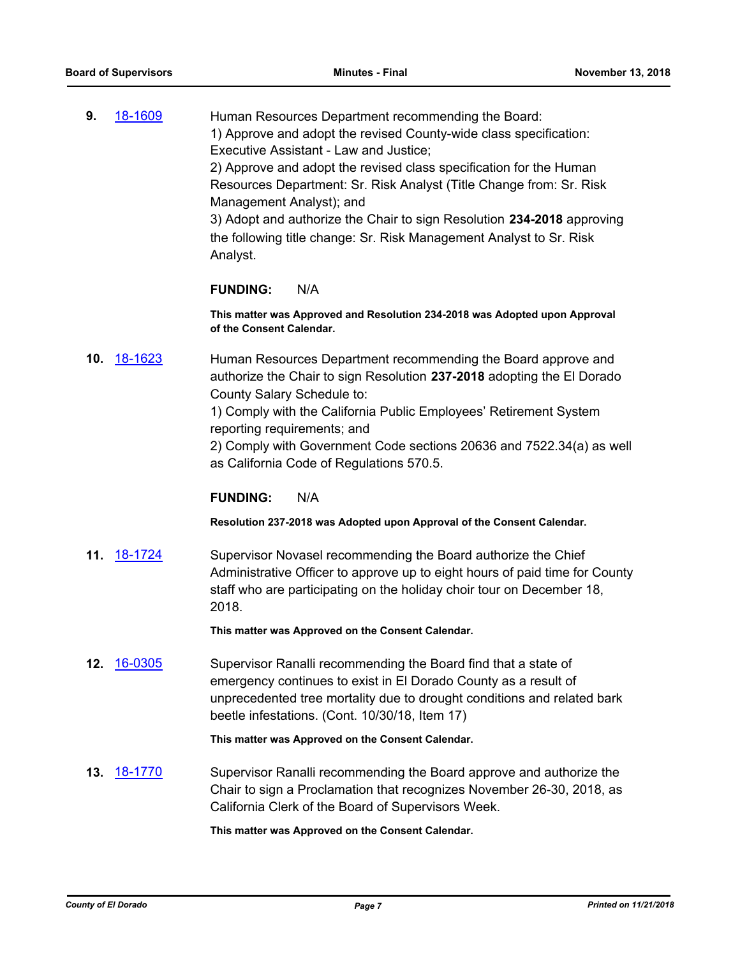**9.** [18-1609](http://eldorado.legistar.com/gateway.aspx?m=l&id=/matter.aspx?key=24960) Human Resources Department recommending the Board: 1) Approve and adopt the revised County-wide class specification: Executive Assistant - Law and Justice; 2) Approve and adopt the revised class specification for the Human Resources Department: Sr. Risk Analyst (Title Change from: Sr. Risk Management Analyst); and 3) Adopt and authorize the Chair to sign Resolution **234-2018** approving the following title change: Sr. Risk Management Analyst to Sr. Risk

Analyst.

### **FUNDING:** N/A

**This matter was Approved and Resolution 234-2018 was Adopted upon Approval of the Consent Calendar.**

**10.** [18-1623](http://eldorado.legistar.com/gateway.aspx?m=l&id=/matter.aspx?key=24974) Human Resources Department recommending the Board approve and authorize the Chair to sign Resolution **237-2018** adopting the El Dorado County Salary Schedule to:

> 1) Comply with the California Public Employees' Retirement System reporting requirements; and

2) Comply with Government Code sections 20636 and 7522.34(a) as well as California Code of Regulations 570.5.

### **FUNDING:** N/A

**Resolution 237-2018 was Adopted upon Approval of the Consent Calendar.**

**11.** [18-1724](http://eldorado.legistar.com/gateway.aspx?m=l&id=/matter.aspx?key=25075) Supervisor Novasel recommending the Board authorize the Chief Administrative Officer to approve up to eight hours of paid time for County staff who are participating on the holiday choir tour on December 18, 2018.

**This matter was Approved on the Consent Calendar.**

**12.** [16-0305](http://eldorado.legistar.com/gateway.aspx?m=l&id=/matter.aspx?key=20961) Supervisor Ranalli recommending the Board find that a state of emergency continues to exist in El Dorado County as a result of unprecedented tree mortality due to drought conditions and related bark beetle infestations. (Cont. 10/30/18, Item 17)

**This matter was Approved on the Consent Calendar.**

**13.** [18-1770](http://eldorado.legistar.com/gateway.aspx?m=l&id=/matter.aspx?key=25121) Supervisor Ranalli recommending the Board approve and authorize the Chair to sign a Proclamation that recognizes November 26-30, 2018, as California Clerk of the Board of Supervisors Week.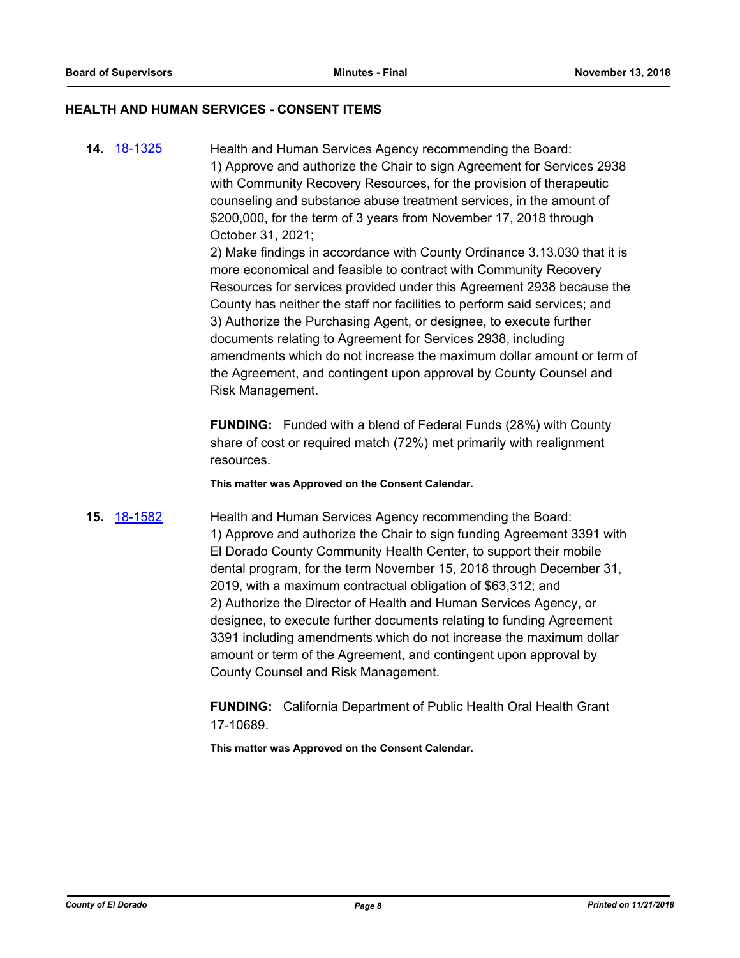### **HEALTH AND HUMAN SERVICES - CONSENT ITEMS**

**14.** [18-1325](http://eldorado.legistar.com/gateway.aspx?m=l&id=/matter.aspx?key=24676) Health and Human Services Agency recommending the Board: 1) Approve and authorize the Chair to sign Agreement for Services 2938 with Community Recovery Resources, for the provision of therapeutic counseling and substance abuse treatment services, in the amount of \$200,000, for the term of 3 years from November 17, 2018 through October 31, 2021; 2) Make findings in accordance with County Ordinance 3.13.030 that it is

more economical and feasible to contract with Community Recovery Resources for services provided under this Agreement 2938 because the County has neither the staff nor facilities to perform said services; and 3) Authorize the Purchasing Agent, or designee, to execute further documents relating to Agreement for Services 2938, including amendments which do not increase the maximum dollar amount or term of the Agreement, and contingent upon approval by County Counsel and Risk Management.

**FUNDING:** Funded with a blend of Federal Funds (28%) with County share of cost or required match (72%) met primarily with realignment resources.

**This matter was Approved on the Consent Calendar.**

**15.** [18-1582](http://eldorado.legistar.com/gateway.aspx?m=l&id=/matter.aspx?key=24933) Health and Human Services Agency recommending the Board: 1) Approve and authorize the Chair to sign funding Agreement 3391 with El Dorado County Community Health Center, to support their mobile dental program, for the term November 15, 2018 through December 31, 2019, with a maximum contractual obligation of \$63,312; and 2) Authorize the Director of Health and Human Services Agency, or designee, to execute further documents relating to funding Agreement 3391 including amendments which do not increase the maximum dollar amount or term of the Agreement, and contingent upon approval by County Counsel and Risk Management.

> **FUNDING:** California Department of Public Health Oral Health Grant 17-10689.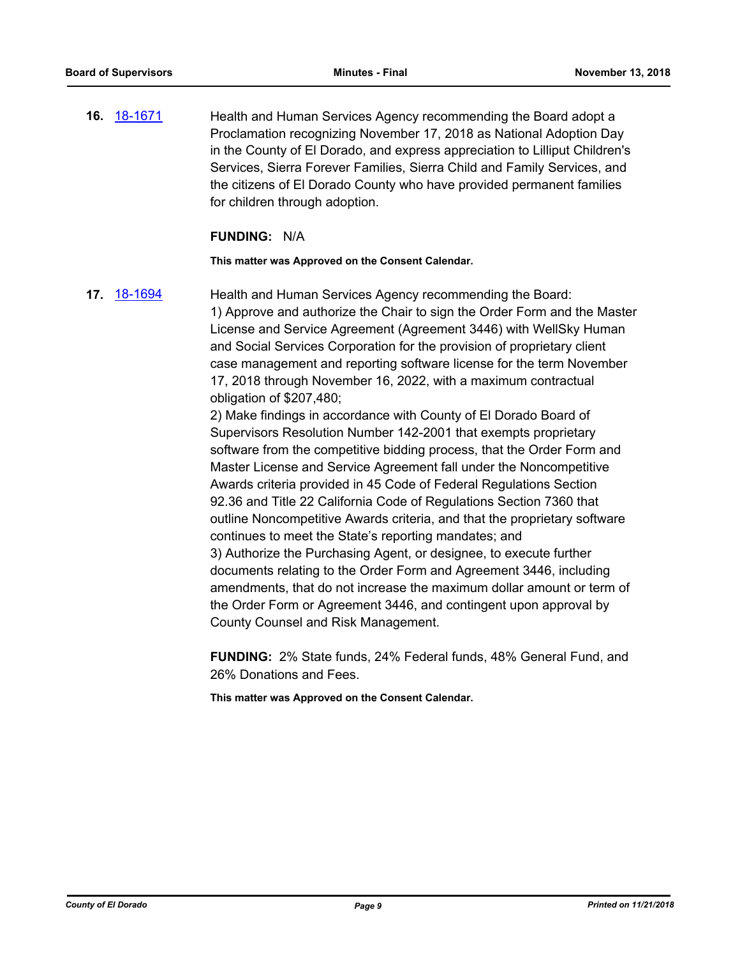**16.** [18-1671](http://eldorado.legistar.com/gateway.aspx?m=l&id=/matter.aspx?key=25022) Health and Human Services Agency recommending the Board adopt a Proclamation recognizing November 17, 2018 as National Adoption Day in the County of El Dorado, and express appreciation to Lilliput Children's Services, Sierra Forever Families, Sierra Child and Family Services, and the citizens of El Dorado County who have provided permanent families for children through adoption.

### **FUNDING:** N/A

**This matter was Approved on the Consent Calendar.**

**17.** [18-1694](http://eldorado.legistar.com/gateway.aspx?m=l&id=/matter.aspx?key=25045) Health and Human Services Agency recommending the Board: 1) Approve and authorize the Chair to sign the Order Form and the Master License and Service Agreement (Agreement 3446) with WellSky Human and Social Services Corporation for the provision of proprietary client case management and reporting software license for the term November 17, 2018 through November 16, 2022, with a maximum contractual obligation of \$207,480;

2) Make findings in accordance with County of El Dorado Board of Supervisors Resolution Number 142-2001 that exempts proprietary software from the competitive bidding process, that the Order Form and Master License and Service Agreement fall under the Noncompetitive Awards criteria provided in 45 Code of Federal Regulations Section 92.36 and Title 22 California Code of Regulations Section 7360 that outline Noncompetitive Awards criteria, and that the proprietary software continues to meet the State's reporting mandates; and 3) Authorize the Purchasing Agent, or designee, to execute further documents relating to the Order Form and Agreement 3446, including amendments, that do not increase the maximum dollar amount or term of the Order Form or Agreement 3446, and contingent upon approval by County Counsel and Risk Management.

**FUNDING:** 2% State funds, 24% Federal funds, 48% General Fund, and 26% Donations and Fees.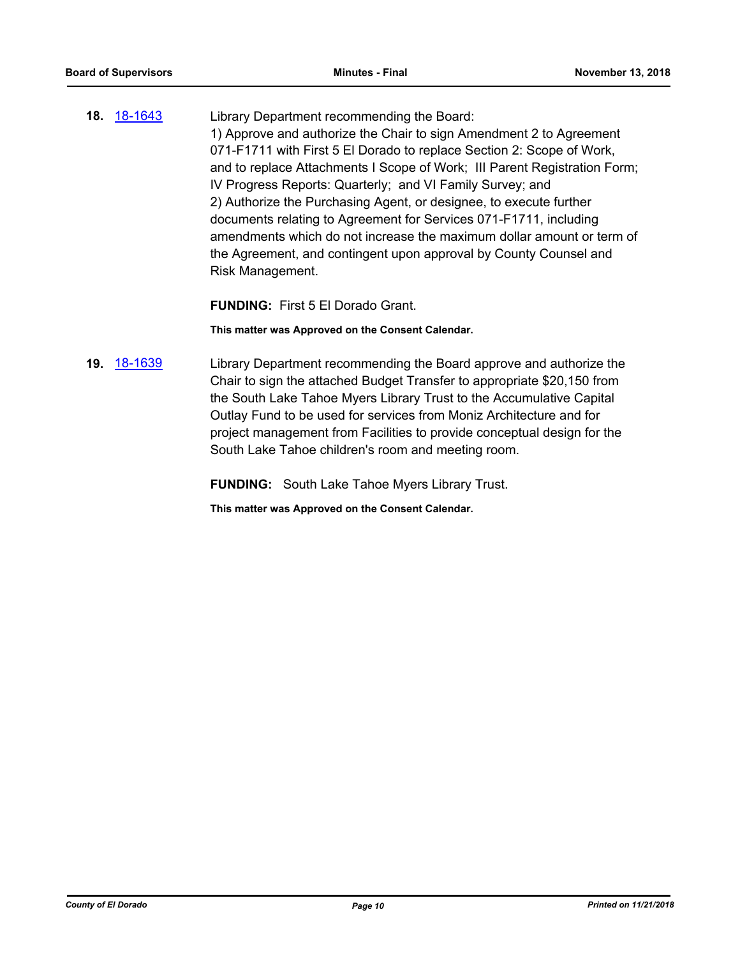**18.** [18-1643](http://eldorado.legistar.com/gateway.aspx?m=l&id=/matter.aspx?key=24994) Library Department recommending the Board: 1) Approve and authorize the Chair to sign Amendment 2 to Agreement 071-F1711 with First 5 El Dorado to replace Section 2: Scope of Work, and to replace Attachments I Scope of Work; III Parent Registration Form; IV Progress Reports: Quarterly; and VI Family Survey; and 2) Authorize the Purchasing Agent, or designee, to execute further documents relating to Agreement for Services 071-F1711, including amendments which do not increase the maximum dollar amount or term of the Agreement, and contingent upon approval by County Counsel and Risk Management.

**FUNDING:** First 5 El Dorado Grant.

**This matter was Approved on the Consent Calendar.**

**19.** [18-1639](http://eldorado.legistar.com/gateway.aspx?m=l&id=/matter.aspx?key=24990) Library Department recommending the Board approve and authorize the Chair to sign the attached Budget Transfer to appropriate \$20,150 from the South Lake Tahoe Myers Library Trust to the Accumulative Capital Outlay Fund to be used for services from Moniz Architecture and for project management from Facilities to provide conceptual design for the South Lake Tahoe children's room and meeting room.

**FUNDING:** South Lake Tahoe Myers Library Trust.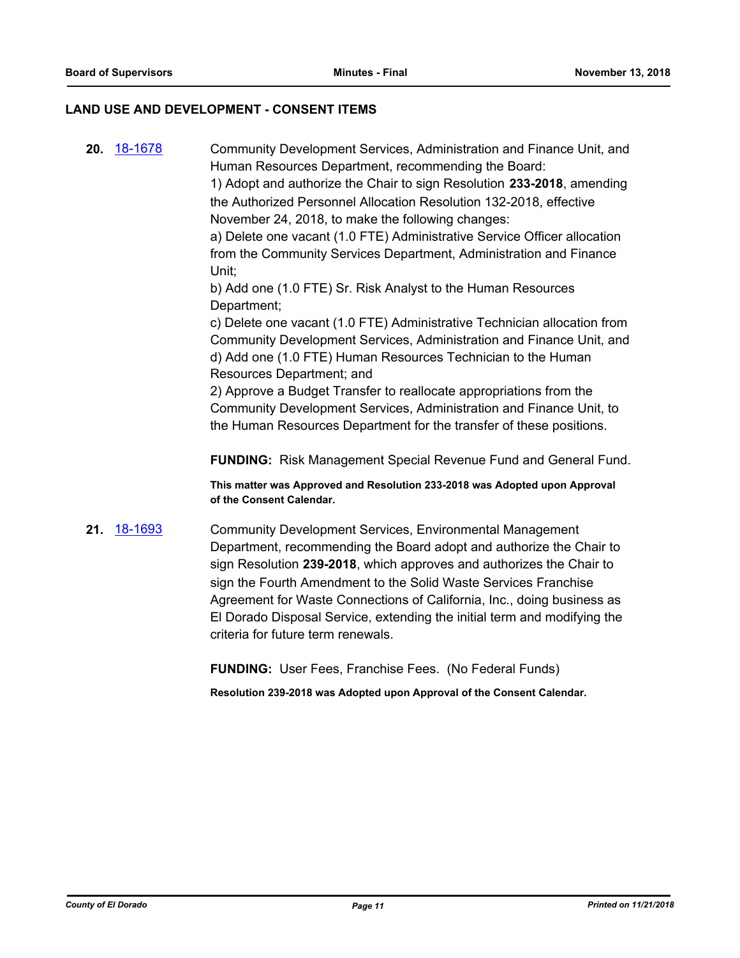### **LAND USE AND DEVELOPMENT - CONSENT ITEMS**

**20.** [18-1678](http://eldorado.legistar.com/gateway.aspx?m=l&id=/matter.aspx?key=25029) Community Development Services, Administration and Finance Unit, and Human Resources Department, recommending the Board: 1) Adopt and authorize the Chair to sign Resolution **233-2018**, amending the Authorized Personnel Allocation Resolution 132-2018, effective November 24, 2018, to make the following changes: a) Delete one vacant (1.0 FTE) Administrative Service Officer allocation from the Community Services Department, Administration and Finance Unit; b) Add one (1.0 FTE) Sr. Risk Analyst to the Human Resources Department; c) Delete one vacant (1.0 FTE) Administrative Technician allocation from Community Development Services, Administration and Finance Unit, and d) Add one (1.0 FTE) Human Resources Technician to the Human Resources Department; and 2) Approve a Budget Transfer to reallocate appropriations from the Community Development Services, Administration and Finance Unit, to the Human Resources Department for the transfer of these positions. **FUNDING:** Risk Management Special Revenue Fund and General Fund. **This matter was Approved and Resolution 233-2018 was Adopted upon Approval of the Consent Calendar. 21.** [18-1693](http://eldorado.legistar.com/gateway.aspx?m=l&id=/matter.aspx?key=25044) Community Development Services, Environmental Management Department, recommending the Board adopt and authorize the Chair to sign Resolution **239-2018**, which approves and authorizes the Chair to sign the Fourth Amendment to the Solid Waste Services Franchise Agreement for Waste Connections of California, Inc., doing business as

criteria for future term renewals.

El Dorado Disposal Service, extending the initial term and modifying the

**FUNDING:** User Fees, Franchise Fees. (No Federal Funds)

**Resolution 239-2018 was Adopted upon Approval of the Consent Calendar.**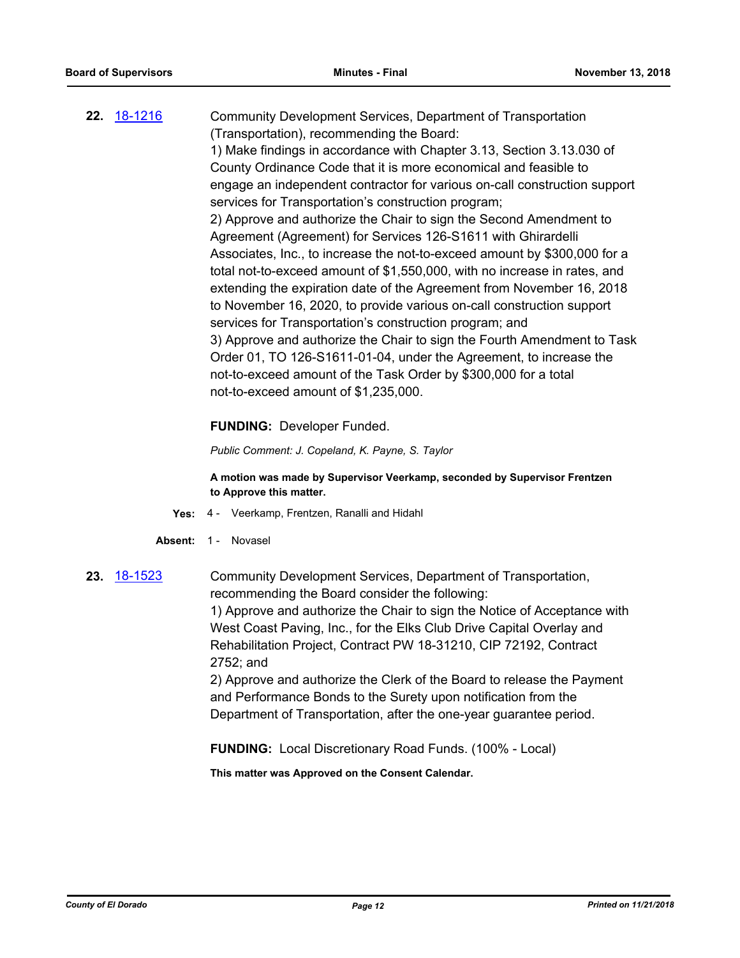**22.** [18-1216](http://eldorado.legistar.com/gateway.aspx?m=l&id=/matter.aspx?key=24567) Community Development Services, Department of Transportation (Transportation), recommending the Board: 1) Make findings in accordance with Chapter 3.13, Section 3.13.030 of County Ordinance Code that it is more economical and feasible to engage an independent contractor for various on-call construction support services for Transportation's construction program; 2) Approve and authorize the Chair to sign the Second Amendment to Agreement (Agreement) for Services 126-S1611 with Ghirardelli Associates, Inc., to increase the not-to-exceed amount by \$300,000 for a total not-to-exceed amount of \$1,550,000, with no increase in rates, and extending the expiration date of the Agreement from November 16, 2018 to November 16, 2020, to provide various on-call construction support services for Transportation's construction program; and 3) Approve and authorize the Chair to sign the Fourth Amendment to Task Order 01, TO 126-S1611-01-04, under the Agreement, to increase the not-to-exceed amount of the Task Order by \$300,000 for a total not-to-exceed amount of \$1,235,000.

### **FUNDING:** Developer Funded.

*Public Comment: J. Copeland, K. Payne, S. Taylor*

**A motion was made by Supervisor Veerkamp, seconded by Supervisor Frentzen to Approve this matter.**

- **Yes:** 4 Veerkamp, Frentzen, Ranalli and Hidahl
- Absent: 1 Novasel
- **23.** [18-1523](http://eldorado.legistar.com/gateway.aspx?m=l&id=/matter.aspx?key=24874) Community Development Services, Department of Transportation, recommending the Board consider the following: 1) Approve and authorize the Chair to sign the Notice of Acceptance with West Coast Paving, Inc., for the Elks Club Drive Capital Overlay and Rehabilitation Project, Contract PW 18-31210, CIP 72192, Contract 2752; and 2) Approve and authorize the Clerk of the Board to release the Payment and Performance Bonds to the Surety upon notification from the Department of Transportation, after the one-year guarantee period.

**FUNDING:** Local Discretionary Road Funds. (100% - Local)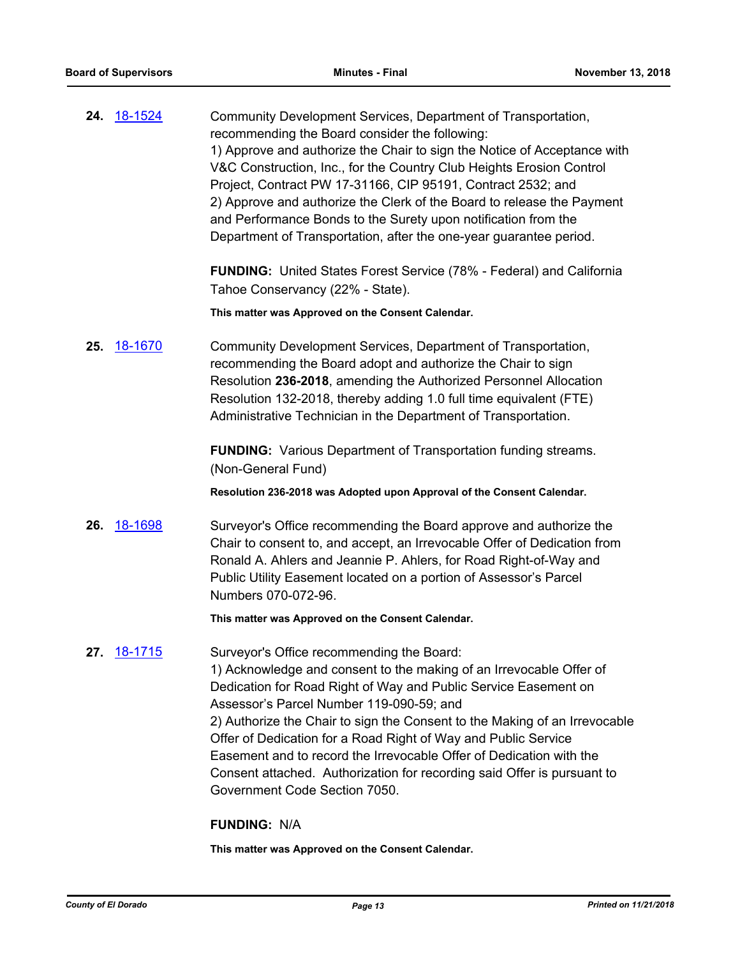| 24. 18-1524 | Community Development Services, Department of Transportation,            |
|-------------|--------------------------------------------------------------------------|
|             | recommending the Board consider the following:                           |
|             | 1) Approve and authorize the Chair to sign the Notice of Acceptance with |
|             | V&C Construction, Inc., for the Country Club Heights Erosion Control     |
|             | Project, Contract PW 17-31166, CIP 95191, Contract 2532; and             |
|             | 2) Approve and authorize the Clerk of the Board to release the Payment   |
|             | and Performance Bonds to the Surety upon notification from the           |
|             | Department of Transportation, after the one-year guarantee period.       |
|             |                                                                          |

**FUNDING:** United States Forest Service (78% - Federal) and California Tahoe Conservancy (22% - State).

**This matter was Approved on the Consent Calendar.**

**25.** [18-1670](http://eldorado.legistar.com/gateway.aspx?m=l&id=/matter.aspx?key=25021) Community Development Services, Department of Transportation, recommending the Board adopt and authorize the Chair to sign Resolution **236-2018**, amending the Authorized Personnel Allocation Resolution 132-2018, thereby adding 1.0 full time equivalent (FTE) Administrative Technician in the Department of Transportation.

> **FUNDING:** Various Department of Transportation funding streams. (Non-General Fund)

**Resolution 236-2018 was Adopted upon Approval of the Consent Calendar.**

**26.** [18-1698](http://eldorado.legistar.com/gateway.aspx?m=l&id=/matter.aspx?key=25049) Surveyor's Office recommending the Board approve and authorize the Chair to consent to, and accept, an Irrevocable Offer of Dedication from Ronald A. Ahlers and Jeannie P. Ahlers, for Road Right-of-Way and Public Utility Easement located on a portion of Assessor's Parcel Numbers 070-072-96*.* 

**This matter was Approved on the Consent Calendar.**

27. **[18-1715](http://eldorado.legistar.com/gateway.aspx?m=l&id=/matter.aspx?key=25066)** Surveyor's Office recommending the Board: 1) Acknowledge and consent to the making of an Irrevocable Offer of Dedication for Road Right of Way and Public Service Easement on Assessor's Parcel Number 119-090-59; and 2) Authorize the Chair to sign the Consent to the Making of an Irrevocable Offer of Dedication for a Road Right of Way and Public Service Easement and to record the Irrevocable Offer of Dedication with the Consent attached. Authorization for recording said Offer is pursuant to Government Code Section 7050.

### **FUNDING:** N/A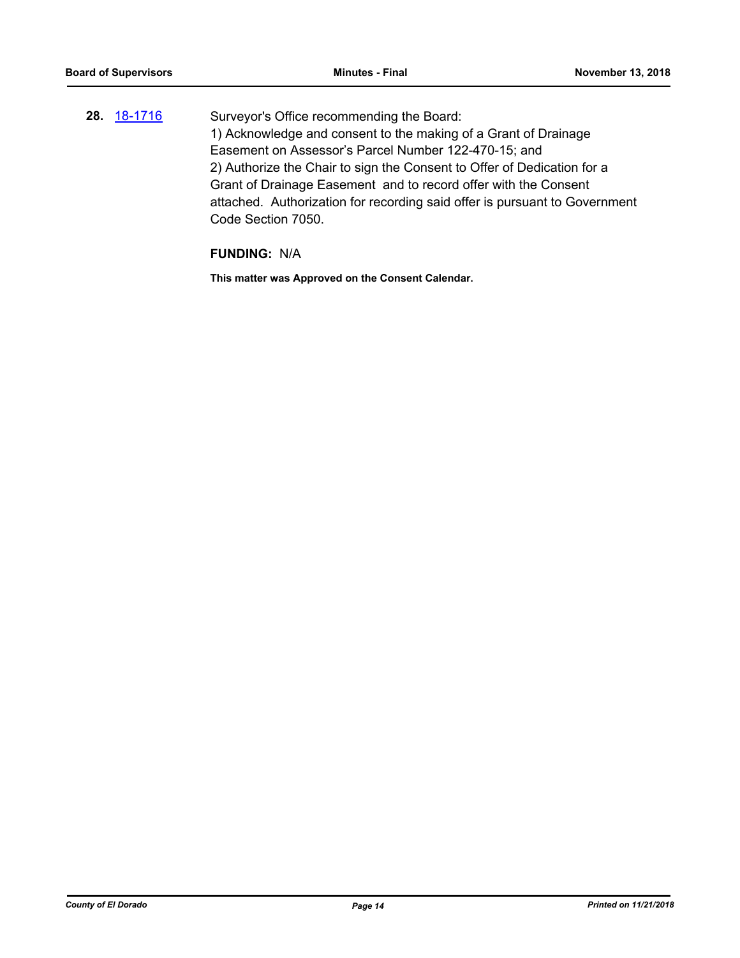**28.** [18-1716](http://eldorado.legistar.com/gateway.aspx?m=l&id=/matter.aspx?key=25067) Surveyor's Office recommending the Board: 1) Acknowledge and consent to the making of a Grant of Drainage Easement on Assessor's Parcel Number 122-470-15; and 2) Authorize the Chair to sign the Consent to Offer of Dedication for a Grant of Drainage Easement and to record offer with the Consent attached. Authorization for recording said offer is pursuant to Government Code Section 7050.

### **FUNDING:** N/A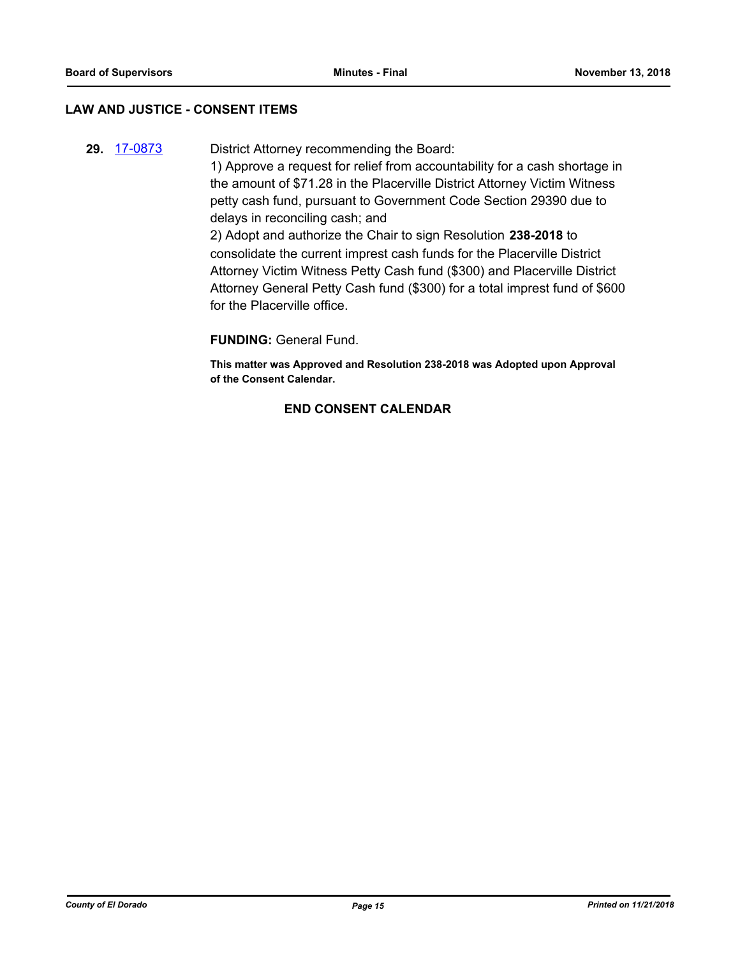### **LAW AND JUSTICE - CONSENT ITEMS**

**29.** [17-0873](http://eldorado.legistar.com/gateway.aspx?m=l&id=/matter.aspx?key=22816) District Attorney recommending the Board: 1) Approve a request for relief from accountability for a cash shortage in the amount of \$71.28 in the Placerville District Attorney Victim Witness petty cash fund, pursuant to Government Code Section 29390 due to delays in reconciling cash; and 2) Adopt and authorize the Chair to sign Resolution **238-2018** to consolidate the current imprest cash funds for the Placerville District Attorney Victim Witness Petty Cash fund (\$300) and Placerville District

Attorney General Petty Cash fund (\$300) for a total imprest fund of \$600 for the Placerville office.

### **FUNDING:** General Fund.

**This matter was Approved and Resolution 238-2018 was Adopted upon Approval of the Consent Calendar.**

### **END CONSENT CALENDAR**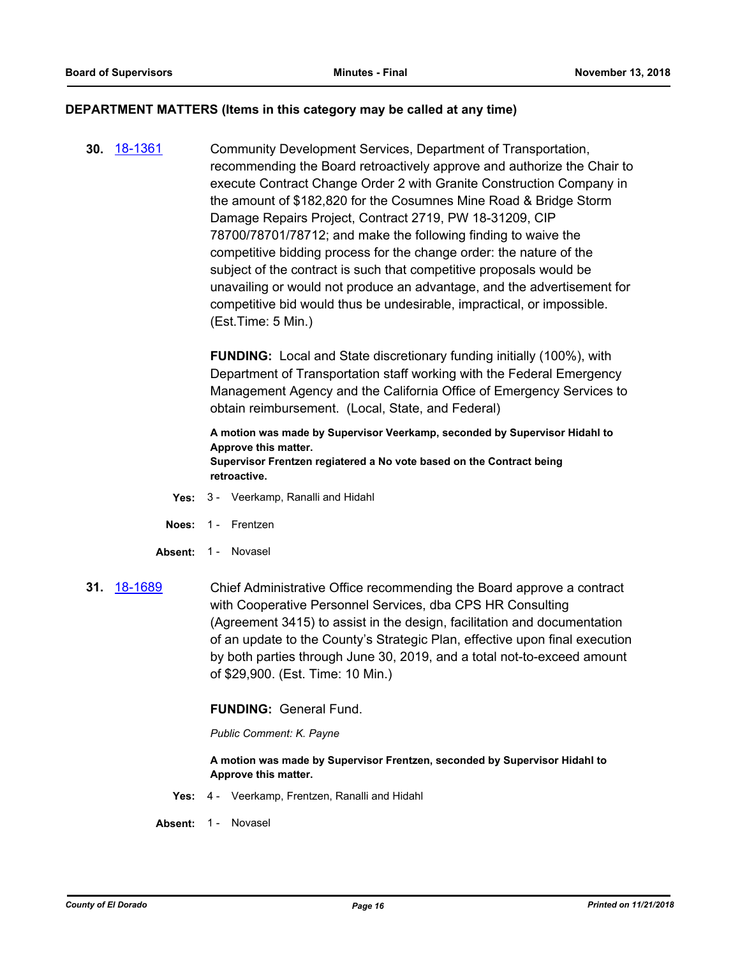### **DEPARTMENT MATTERS (Items in this category may be called at any time)**

**30.** [18-1361](http://eldorado.legistar.com/gateway.aspx?m=l&id=/matter.aspx?key=24713) Community Development Services, Department of Transportation, recommending the Board retroactively approve and authorize the Chair to execute Contract Change Order 2 with Granite Construction Company in the amount of \$182,820 for the Cosumnes Mine Road & Bridge Storm Damage Repairs Project, Contract 2719, PW 18-31209, CIP 78700/78701/78712; and make the following finding to waive the competitive bidding process for the change order: the nature of the subject of the contract is such that competitive proposals would be unavailing or would not produce an advantage, and the advertisement for competitive bid would thus be undesirable, impractical, or impossible. (Est.Time: 5 Min.)

> **FUNDING:** Local and State discretionary funding initially (100%), with Department of Transportation staff working with the Federal Emergency Management Agency and the California Office of Emergency Services to obtain reimbursement. (Local, State, and Federal)

**A motion was made by Supervisor Veerkamp, seconded by Supervisor Hidahl to Approve this matter. Supervisor Frentzen regiatered a No vote based on the Contract being retroactive.**

- **Yes:** 3 Veerkamp, Ranalli and Hidahl
- **Noes:** 1 Frentzen
- Absent: 1 Novasel
- **31.** [18-1689](http://eldorado.legistar.com/gateway.aspx?m=l&id=/matter.aspx?key=25040) Chief Administrative Office recommending the Board approve a contract with Cooperative Personnel Services, dba CPS HR Consulting (Agreement 3415) to assist in the design, facilitation and documentation of an update to the County's Strategic Plan, effective upon final execution by both parties through June 30, 2019, and a total not-to-exceed amount of \$29,900. (Est. Time: 10 Min.)

**FUNDING:** General Fund.

*Public Comment: K. Payne*

**A motion was made by Supervisor Frentzen, seconded by Supervisor Hidahl to Approve this matter.**

**Yes:** 4 - Veerkamp, Frentzen, Ranalli and Hidahl

**Absent:** 1 - Novasel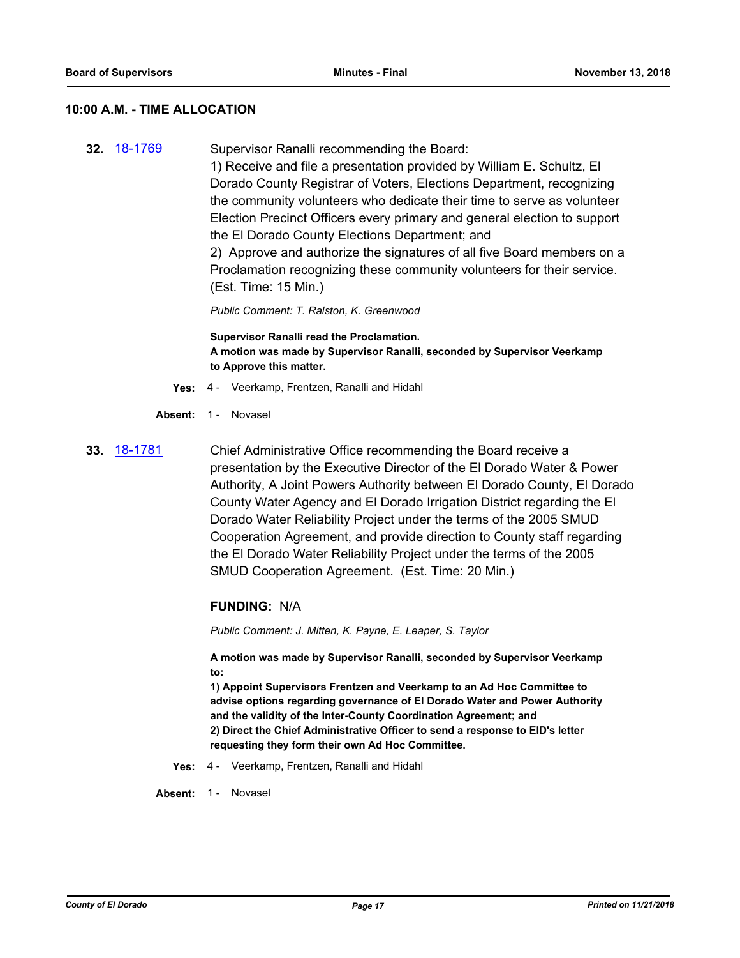### **10:00 A.M. - TIME ALLOCATION**

**32.** [18-1769](http://eldorado.legistar.com/gateway.aspx?m=l&id=/matter.aspx?key=25120) Supervisor Ranalli recommending the Board: 1) Receive and file a presentation provided by William E. Schultz, El Dorado County Registrar of Voters, Elections Department, recognizing the community volunteers who dedicate their time to serve as volunteer Election Precinct Officers every primary and general election to support the El Dorado County Elections Department; and 2) Approve and authorize the signatures of all five Board members on a Proclamation recognizing these community volunteers for their service. (Est. Time: 15 Min.)

*Public Comment: T. Ralston, K. Greenwood*

**Supervisor Ranalli read the Proclamation. A motion was made by Supervisor Ranalli, seconded by Supervisor Veerkamp to Approve this matter.**

- **Yes:** 4 Veerkamp, Frentzen, Ranalli and Hidahl
- Absent: 1 Novasel
- **33.** [18-1781](http://eldorado.legistar.com/gateway.aspx?m=l&id=/matter.aspx?key=25132) Chief Administrative Office recommending the Board receive a presentation by the Executive Director of the El Dorado Water & Power Authority, A Joint Powers Authority between El Dorado County, El Dorado County Water Agency and El Dorado Irrigation District regarding the El Dorado Water Reliability Project under the terms of the 2005 SMUD Cooperation Agreement, and provide direction to County staff regarding the El Dorado Water Reliability Project under the terms of the 2005 SMUD Cooperation Agreement. (Est. Time: 20 Min.)

### **FUNDING:** N/A

*Public Comment: J. Mitten, K. Payne, E. Leaper, S. Taylor*

**A motion was made by Supervisor Ranalli, seconded by Supervisor Veerkamp to:**

**1) Appoint Supervisors Frentzen and Veerkamp to an Ad Hoc Committee to advise options regarding governance of El Dorado Water and Power Authority and the validity of the Inter-County Coordination Agreement; and 2) Direct the Chief Administrative Officer to send a response to EID's letter requesting they form their own Ad Hoc Committee.**

**Yes:** 4 - Veerkamp, Frentzen, Ranalli and Hidahl

Absent: 1 - Novasel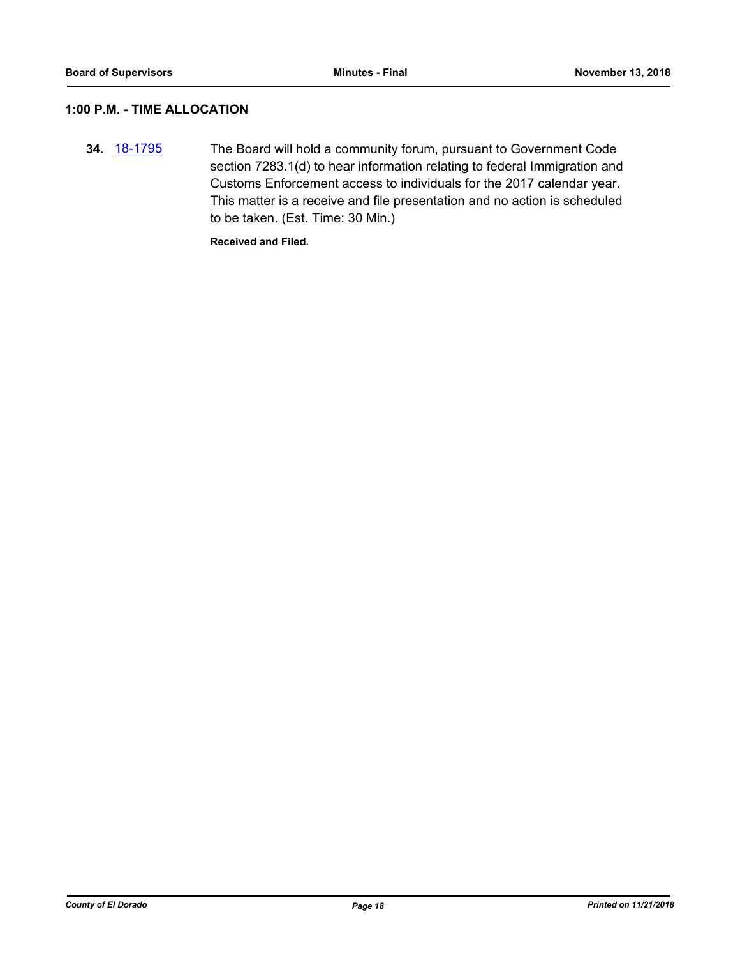### **1:00 P.M. - TIME ALLOCATION**

**34.** [18-1795](http://eldorado.legistar.com/gateway.aspx?m=l&id=/matter.aspx?key=25146) The Board will hold a community forum, pursuant to Government Code section 7283.1(d) to hear information relating to federal Immigration and Customs Enforcement access to individuals for the 2017 calendar year. This matter is a receive and file presentation and no action is scheduled to be taken. (Est. Time: 30 Min.)

**Received and Filed.**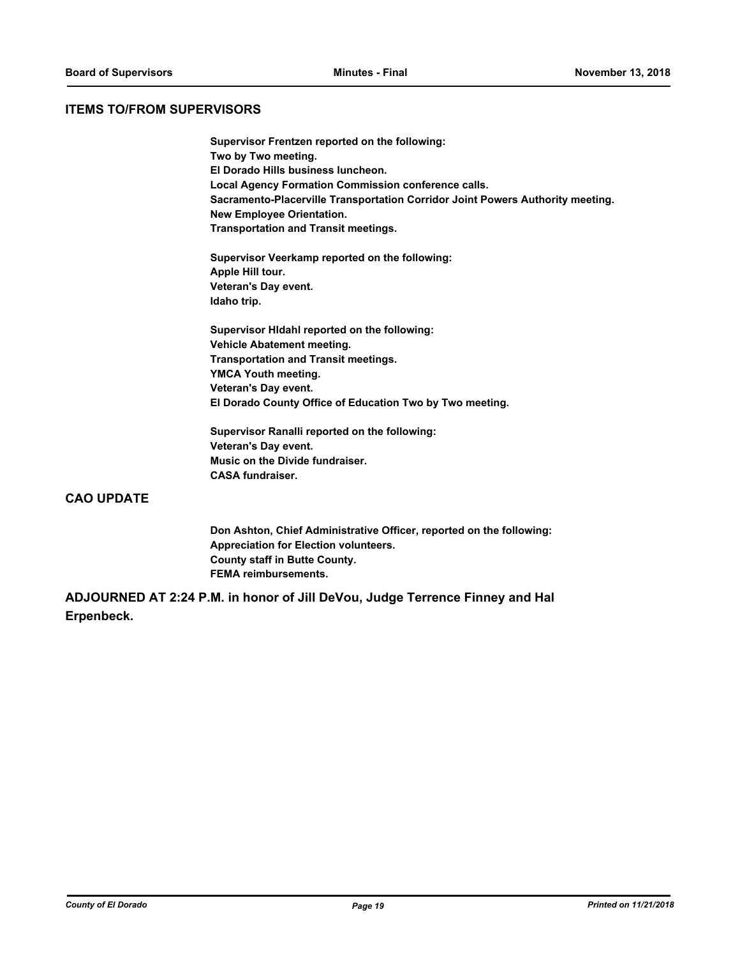### **ITEMS TO/FROM SUPERVISORS**

**Supervisor Frentzen reported on the following: Two by Two meeting. El Dorado Hills business luncheon. Local Agency Formation Commission conference calls. Sacramento-Placerville Transportation Corridor Joint Powers Authority meeting. New Employee Orientation. Transportation and Transit meetings.**

**Supervisor Veerkamp reported on the following: Apple Hill tour. Veteran's Day event. Idaho trip.**

**Supervisor HIdahl reported on the following: Vehicle Abatement meeting. Transportation and Transit meetings. YMCA Youth meeting. Veteran's Day event. El Dorado County Office of Education Two by Two meeting.**

**Supervisor Ranalli reported on the following: Veteran's Day event. Music on the Divide fundraiser. CASA fundraiser.**

### **CAO UPDATE**

**Don Ashton, Chief Administrative Officer, reported on the following: Appreciation for Election volunteers. County staff in Butte County. FEMA reimbursements.**

**ADJOURNED AT 2:24 P.M. in honor of Jill DeVou, Judge Terrence Finney and Hal Erpenbeck.**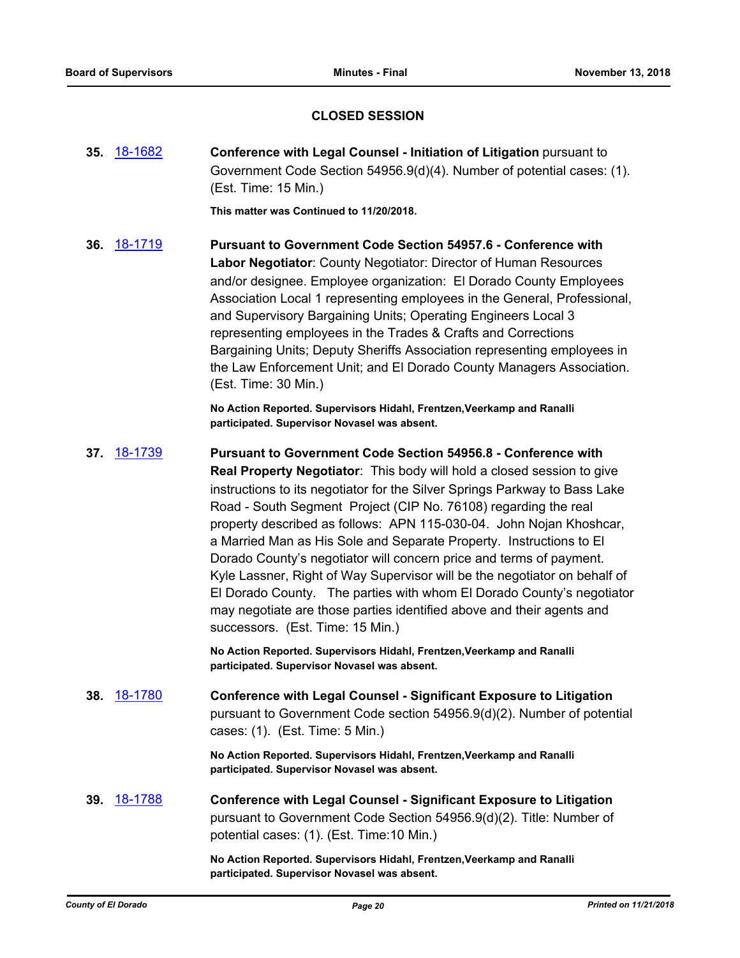### **CLOSED SESSION**

**35.** [18-1682](http://eldorado.legistar.com/gateway.aspx?m=l&id=/matter.aspx?key=25033) **Conference with Legal Counsel - Initiation of Litigation** pursuant to Government Code Section 54956.9(d)(4). Number of potential cases: (1). (Est. Time: 15 Min.)

**This matter was Continued to 11/20/2018.**

**36.** [18-1719](http://eldorado.legistar.com/gateway.aspx?m=l&id=/matter.aspx?key=25070) **Pursuant to Government Code Section 54957.6 - Conference with Labor Negotiator**: County Negotiator: Director of Human Resources and/or designee. Employee organization: El Dorado County Employees Association Local 1 representing employees in the General, Professional, and Supervisory Bargaining Units; Operating Engineers Local 3 representing employees in the Trades & Crafts and Corrections Bargaining Units; Deputy Sheriffs Association representing employees in the Law Enforcement Unit; and El Dorado County Managers Association. (Est. Time: 30 Min.)

> **No Action Reported. Supervisors Hidahl, Frentzen,Veerkamp and Ranalli participated. Supervisor Novasel was absent.**

**37.** [18-1739](http://eldorado.legistar.com/gateway.aspx?m=l&id=/matter.aspx?key=25090) **Pursuant to Government Code Section 54956.8 - Conference with Real Property Negotiator**: This body will hold a closed session to give instructions to its negotiator for the Silver Springs Parkway to Bass Lake Road - South Segment Project (CIP No. 76108) regarding the real property described as follows: APN 115-030-04. John Nojan Khoshcar, a Married Man as His Sole and Separate Property. Instructions to El Dorado County's negotiator will concern price and terms of payment. Kyle Lassner, Right of Way Supervisor will be the negotiator on behalf of El Dorado County. The parties with whom El Dorado County's negotiator may negotiate are those parties identified above and their agents and successors. (Est. Time: 15 Min.)

> **No Action Reported. Supervisors Hidahl, Frentzen,Veerkamp and Ranalli participated. Supervisor Novasel was absent.**

**38.** [18-1780](http://eldorado.legistar.com/gateway.aspx?m=l&id=/matter.aspx?key=25131) **Conference with Legal Counsel - Significant Exposure to Litigation**  pursuant to Government Code section 54956.9(d)(2). Number of potential cases: (1). (Est. Time: 5 Min.)

> **No Action Reported. Supervisors Hidahl, Frentzen,Veerkamp and Ranalli participated. Supervisor Novasel was absent.**

**39.** [18-1788](http://eldorado.legistar.com/gateway.aspx?m=l&id=/matter.aspx?key=25139) **Conference with Legal Counsel - Significant Exposure to Litigation** pursuant to Government Code Section 54956.9(d)(2). Title: Number of potential cases: (1). (Est. Time:10 Min.)

> **No Action Reported. Supervisors Hidahl, Frentzen,Veerkamp and Ranalli participated. Supervisor Novasel was absent.**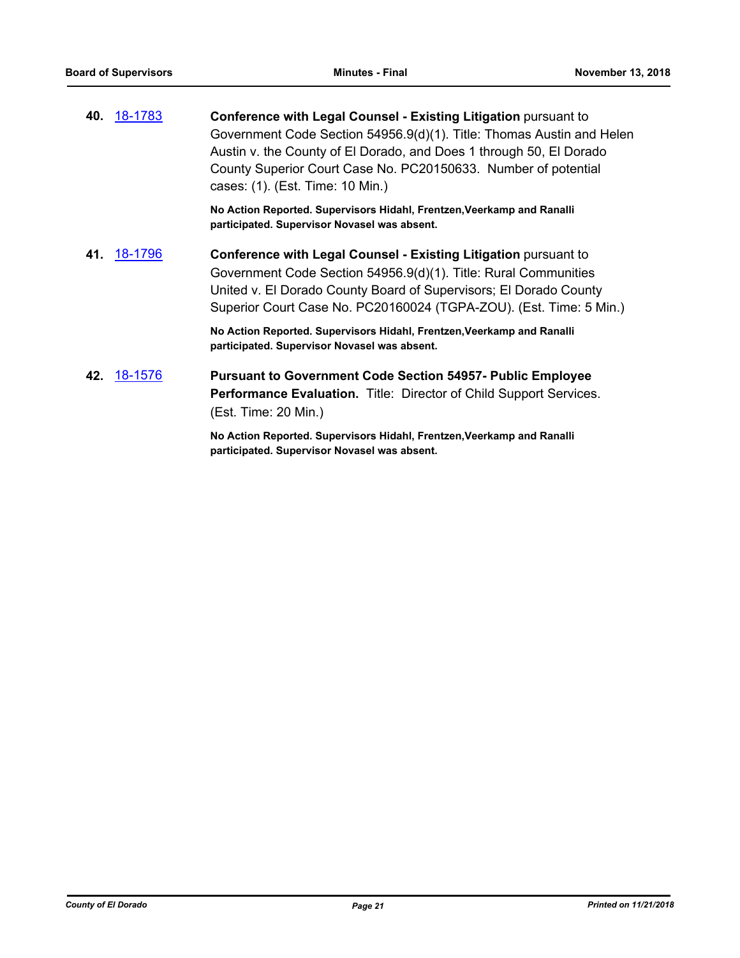**40.** [18-1783](http://eldorado.legistar.com/gateway.aspx?m=l&id=/matter.aspx?key=25134) **Conference with Legal Counsel - Existing Litigation** pursuant to Government Code Section 54956.9(d)(1). Title: Thomas Austin and Helen Austin v. the County of El Dorado, and Does 1 through 50, El Dorado County Superior Court Case No. PC20150633. Number of potential cases: (1). (Est. Time: 10 Min.)

> **No Action Reported. Supervisors Hidahl, Frentzen,Veerkamp and Ranalli participated. Supervisor Novasel was absent.**

**41.** [18-1796](http://eldorado.legistar.com/gateway.aspx?m=l&id=/matter.aspx?key=25147) **Conference with Legal Counsel - Existing Litigation** pursuant to Government Code Section 54956.9(d)(1). Title: Rural Communities United v. El Dorado County Board of Supervisors; El Dorado County Superior Court Case No. PC20160024 (TGPA-ZOU). (Est. Time: 5 Min.)

> **No Action Reported. Supervisors Hidahl, Frentzen,Veerkamp and Ranalli participated. Supervisor Novasel was absent.**

**42.** [18-1576](http://eldorado.legistar.com/gateway.aspx?m=l&id=/matter.aspx?key=24927) **Pursuant to Government Code Section 54957- Public Employee Performance Evaluation.** Title: Director of Child Support Services. (Est. Time: 20 Min.)

> **No Action Reported. Supervisors Hidahl, Frentzen,Veerkamp and Ranalli participated. Supervisor Novasel was absent.**